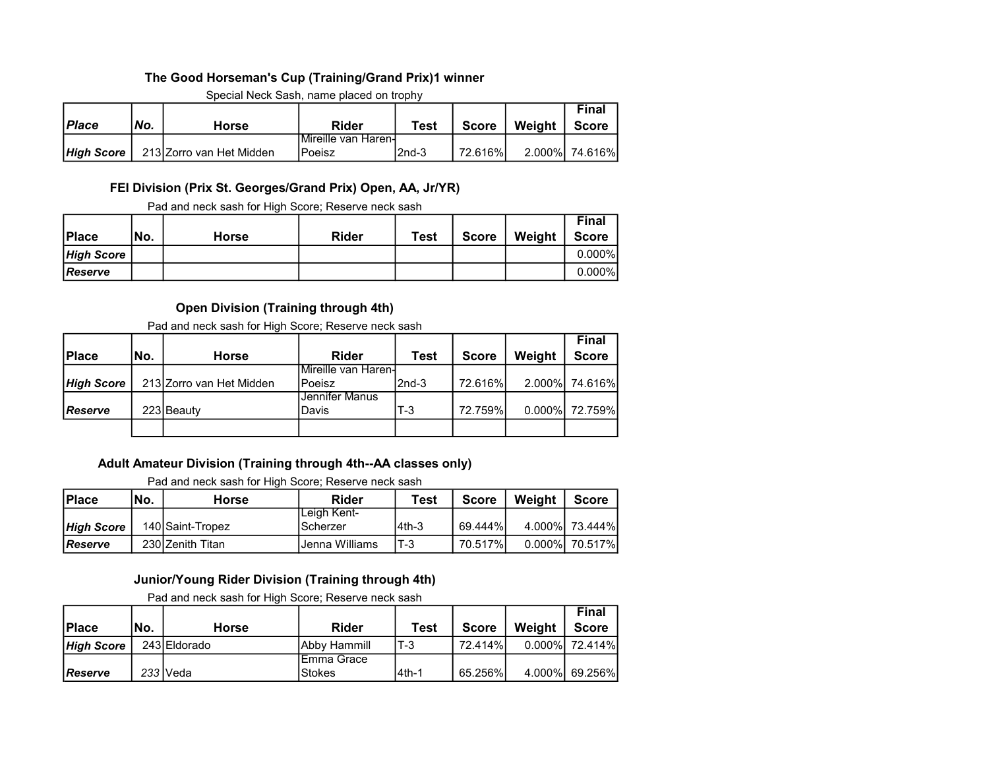## The Good Horseman's Cup (Training/Grand Prix)1 winner

| <b>Place</b> | No.<br>Horse |                          | <b>Rider</b>        | <b>Test</b> | Weight<br><b>Score</b> |  | Final<br><b>Score</b> |
|--------------|--------------|--------------------------|---------------------|-------------|------------------------|--|-----------------------|
|              |              |                          | Mireille van Haren- |             |                        |  |                       |
| High Score   |              | 213 Zorro van Het Midden | <b>IPoeisz</b>      | l2nd-3      | 72.616%                |  | 2.000% 74.616%        |

Special Neck Sash, name placed on trophy

### FEI Division (Prix St. Georges/Grand Prix) Open, AA, Jr/YR)

Pad and neck sash for High Score; Reserve neck sash

| <b>Place</b>      | 'No. | Horse | <b>Rider</b> | <b>Test</b> | <b>Score</b> | Weight | <b>Final</b><br><b>Score</b> |
|-------------------|------|-------|--------------|-------------|--------------|--------|------------------------------|
| <b>High Score</b> |      |       |              |             |              |        | $0.000\%$                    |
| <b>IReserve</b>   |      |       |              |             |              |        | $0.000\%$                    |

## Open Division (Training through 4th)

Pad and neck sash for High Score; Reserve neck sash

| INo. | <b>Horse</b> | Rider                                  | Test   | <b>Score</b>          | Weight | <b>Final</b><br><b>Score</b> |
|------|--------------|----------------------------------------|--------|-----------------------|--------|------------------------------|
|      |              |                                        |        |                       |        |                              |
|      |              | Poeisz                                 | l2nd-3 |                       |        | 2.000% 74.616%               |
|      |              | Jennifer Manus                         |        |                       |        |                              |
|      |              | Davis                                  | T-3    |                       |        | 0.000% 72.759%               |
|      |              |                                        |        |                       |        |                              |
|      |              | 213 Zorro van Het Midden<br>223 Beauty |        | IMireille van Haren-l |        | 72.616%L<br>72.759%          |

## Adult Amateur Division (Training through 4th--AA classes only)

Pad and neck sash for High Score; Reserve neck sash

| <b>Place</b>      | INo.<br>Test<br>Weight<br>Rider<br><b>Score</b><br>Horse |                  |                                  |        |         |  |                |  |  |
|-------------------|----------------------------------------------------------|------------------|----------------------------------|--------|---------|--|----------------|--|--|
| <b>High Score</b> |                                                          | 140 Saint-Tropez | ILeigh Kent-<br><b>IScherzer</b> | l4th-3 | 69.444% |  | 4.000% 73.444% |  |  |
| l <i>Reserve</i>  |                                                          | 230 Zenith Titan | IJenna Williams                  | $T-3$  | 70.517% |  | 0.000% 70.517% |  |  |

### Junior/Young Rider Division (Training through 4th)

Pad and neck sash for High Score; Reserve neck sash

|                 |      |              |                      |        |         |        | Final          |
|-----------------|------|--------------|----------------------|--------|---------|--------|----------------|
| <b>Place</b>    | INo. | <b>Horse</b> | <b>Rider</b>         | Test   | Score   | Weight | <b>Score</b>   |
| High Score      |      | 243 Eldorado | <b>IAbby Hammill</b> | T-3    | 72.414% |        | 0.000% 72.414% |
|                 |      |              | IEmma Grace          |        |         |        |                |
| <b>IReserve</b> |      | 233 IVeda    | <b>Stokes</b>        | l4th-1 | 65.256% |        | 4.000% 69.256% |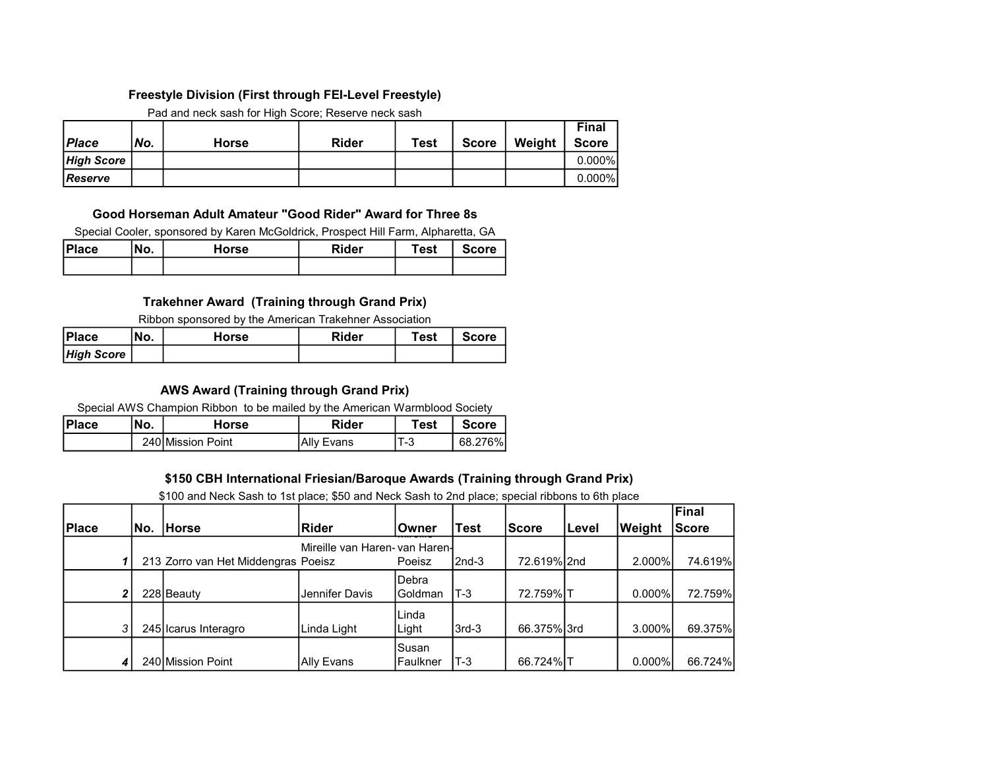### Freestyle Division (First through FEI-Level Freestyle)

Pad and neck sash for High Score; Reserve neck sash

|                   |     |       |              |      |              |        | <b>Final</b> |
|-------------------|-----|-------|--------------|------|--------------|--------|--------------|
| Place             | No. | Horse | <b>Rider</b> | Test | <b>Score</b> | Weight | <b>Score</b> |
| <b>High Score</b> |     |       |              |      |              |        | $0.000\%$    |
| <b>IReserve</b>   |     |       |              |      |              |        | $0.000\%$    |

### Good Horseman Adult Amateur "Good Rider" Award for Three 8s

Special Cooler, sponsored by Karen McGoldrick, Prospect Hill Farm, Alpharetta, GA

| <b>Place</b> | No. | Horse | Rider | Test | <b>Score</b> |
|--------------|-----|-------|-------|------|--------------|
|              |     |       |       |      |              |

## Trakehner Award (Training through Grand Prix)

Ribbon sponsored by the American Trakehner Association

| <b>Place</b>      | 'No. | Horse | <b>Rider</b> | Test | <b>Score</b> |
|-------------------|------|-------|--------------|------|--------------|
| <b>High Score</b> |      |       |              |      |              |

## AWS Award (Training through Grand Prix)

Special AWS Champion Ribbon to be mailed by the American Warmblood Society

| <b>Place</b> | ١Nο.<br>Horse     |  | <b>Rider</b> | Test | <b>Score</b> |
|--------------|-------------------|--|--------------|------|--------------|
|              | 240 Mission Point |  | Ally Evans   | 'T-3 | 68.276%ı     |

### \$150 CBH International Friesian/Baroque Awards (Training through Grand Prix)

\$100 and Neck Sash to 1st place; \$50 and Neck Sash to 2nd place; special ribbons to 6th place

|                  |      |                                     |                                |           |             |              |       |           | Final        |
|------------------|------|-------------------------------------|--------------------------------|-----------|-------------|--------------|-------|-----------|--------------|
| Place            | lNo. | <b>Horse</b>                        | Rider                          | iOwner    | <b>Test</b> | <b>Score</b> | Level | Weight    | <b>Score</b> |
|                  |      |                                     | Mireille van Haren- van Haren- |           |             |              |       |           |              |
|                  |      | 213 Zorro van Het Middengras Poeisz |                                | Poeisz    | $2nd-3$     | 72.619% 2nd  |       | 2.000%l   | 74.619%      |
|                  |      |                                     |                                | Debra     |             |              |       |           |              |
| 2 <sup>1</sup>   |      | 228 Beauty                          | Jennifer Davis                 | lGoldman  | $T-3$       | 72.759%IT    |       | $0.000\%$ | 72.759%      |
|                  |      |                                     |                                | ILinda    |             |              |       |           |              |
| 3                |      | 245 Icarus Interagro                | Linda Light                    | Light     | $3rd-3$     | 66.375% 3rd  |       | $3.000\%$ | 69.375%      |
|                  |      |                                     |                                | Susan     |             |              |       |           |              |
| $\boldsymbol{4}$ |      | 240 Mission Point                   | Ally Evans                     | lFaulkner | $T-3$       | 66.724% T    |       | $0.000\%$ | 66.724%      |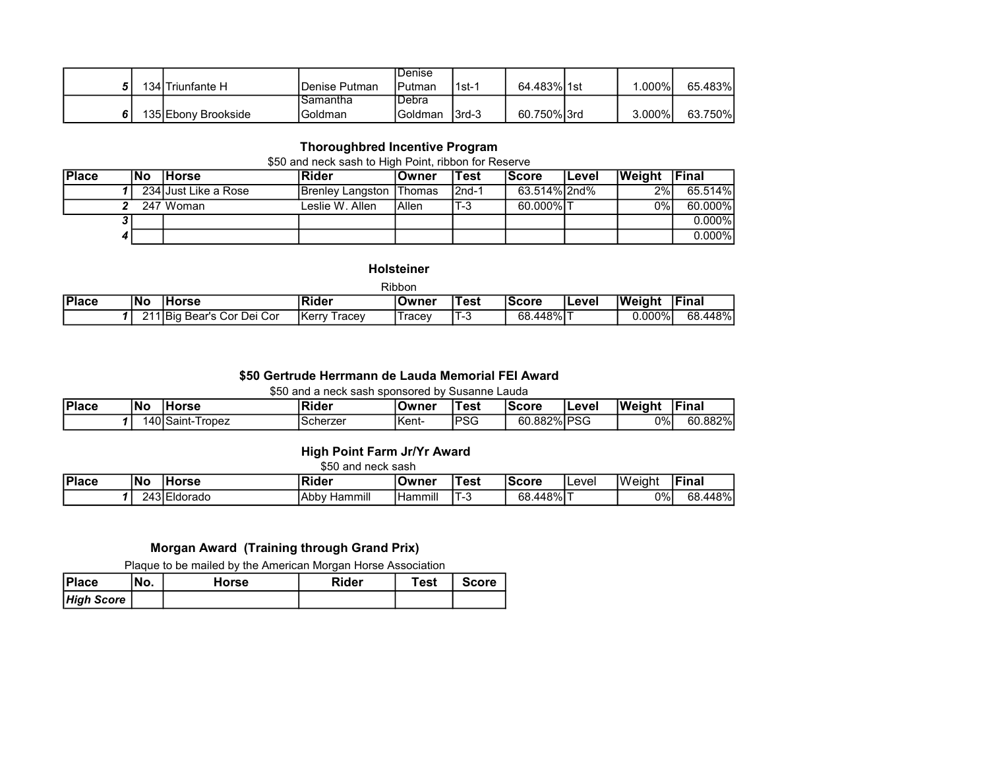|  |                     |               | IDenise       |         |             |           |         |
|--|---------------------|---------------|---------------|---------|-------------|-----------|---------|
|  | 134 Triunfante H    | Denise Putman | IPutman       | l 1st-1 | 64.483% 1st | $.000\%$  | 65.483% |
|  |                     | Samantha      | <b>IDebra</b> |         |             |           |         |
|  | 135 Ebony Brookside | Goldman       | IGoldman      | 13rd-3  | 60.750%13rd | $3.000\%$ | 63.750% |

# Thoroughbred Incentive Program

### \$50 and neck sash to High Point, ribbon for Reserve

| <b>Place</b> | lNo | <b>IHorse</b>        | <b>Rider</b>              | lOwner | Test    | <b>Score</b> | Level | <b>Weight</b> | lFinal    |
|--------------|-----|----------------------|---------------------------|--------|---------|--------------|-------|---------------|-----------|
|              |     | 234 Just Like a Rose | Brenley Langston   Thomas |        | $2nd-1$ | 63.514% 2nd% |       | 2%1           | 65.514%   |
|              |     | 247 Woman            | Leslie W. Allen           | IAllen | $T-3$   | 60.000%IT    |       | $0\%$         | 60.000%   |
|              |     |                      |                           |        |         |              |       |               | $0.000\%$ |
|              |     |                      |                           |        |         |              |       |               | $0.000\%$ |

#### Holsteiner

| Ribbon |    |                            |                         |         |       |           |       |               |               |  |
|--------|----|----------------------------|-------------------------|---------|-------|-----------|-------|---------------|---------------|--|
| Place  | No | <b>Horse</b>               | Rider                   | ∣Owner  | 'Test | lScore    | Level | <b>Weight</b> | <b>IFinal</b> |  |
|        |    | 211 Big Bear's Cor Dei Cor | <b>IKerry</b><br>⊺racev | ' racev | ن- ا  | 68.448%IT |       | 0.000%l       | 68.448%       |  |

### \$50 Gertrude Herrmann de Lauda Memorial FEI Award

\$50 and a neck sash sponsored by Susanne Lauda

| Place | 'No | 'orse                  | Rider     | lOwner | est:       | Score       | Level | <b>Weight</b><br>. | .Fina'  |
|-------|-----|------------------------|-----------|--------|------------|-------------|-------|--------------------|---------|
|       |     | 140ISaint-T<br>I ropez | .Scherzer | Kent-  | <b>PSG</b> | 60.882% PSG |       | 0%                 | 60.882% |

## High Point Farm Jr/Yr Award

\$50 and neck sash

| Place | 'No         | <b>orse</b>                | lm:<br>⊥Rider                | lOwner       | est:           | lScore    | Level | <b>Weight</b> | Final       |
|-------|-------------|----------------------------|------------------------------|--------------|----------------|-----------|-------|---------------|-------------|
|       | 'Д<br>- ان. | $\sim$<br><b>IEIdorado</b> | <br>l Abby<br>Hammıll<br>nar | <br>'Hammill | $\blacksquare$ | 68.448% T |       | 0%            | 448%<br>68. |

## Morgan Award (Training through Grand Prix)

Plaque to be mailed by the American Morgan Horse Association

| <b>Place</b>      | 'No. | Horse | Rider | Test | <b>Score</b> |
|-------------------|------|-------|-------|------|--------------|
| <b>High Score</b> |      |       |       |      |              |